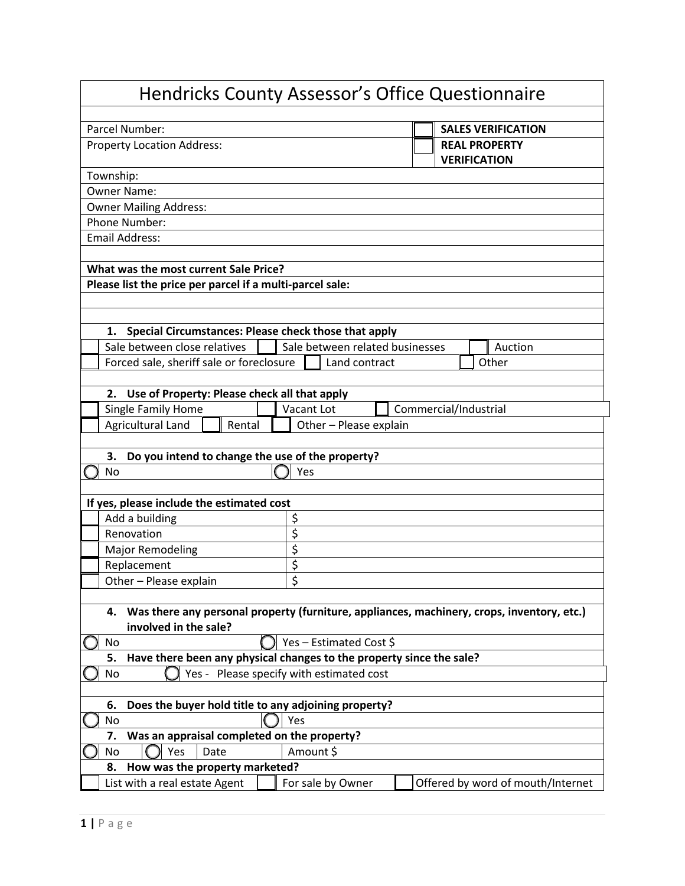|                                                                            |                                          | <b>Hendricks County Assessor's Office Questionnaire</b>                                    |
|----------------------------------------------------------------------------|------------------------------------------|--------------------------------------------------------------------------------------------|
| Parcel Number:<br><b>Property Location Address:</b>                        |                                          | <b>SALES VERIFICATION</b><br><b>REAL PROPERTY</b>                                          |
| Township:                                                                  |                                          | <b>VERIFICATION</b>                                                                        |
| <b>Owner Name:</b>                                                         |                                          |                                                                                            |
| <b>Owner Mailing Address:</b>                                              |                                          |                                                                                            |
| Phone Number:                                                              |                                          |                                                                                            |
| <b>Email Address:</b>                                                      |                                          |                                                                                            |
|                                                                            |                                          |                                                                                            |
| What was the most current Sale Price?                                      |                                          |                                                                                            |
| Please list the price per parcel if a multi-parcel sale:                   |                                          |                                                                                            |
|                                                                            |                                          |                                                                                            |
|                                                                            |                                          |                                                                                            |
| Special Circumstances: Please check those that apply<br>1.                 |                                          |                                                                                            |
| Sale between close relatives                                               | Sale between related businesses          | Auction                                                                                    |
| Forced sale, sheriff sale or foreclosure                                   | Land contract                            | Other                                                                                      |
|                                                                            |                                          |                                                                                            |
| Use of Property: Please check all that apply<br>2.                         |                                          |                                                                                            |
| Single Family Home                                                         | <b>Vacant Lot</b>                        | Commercial/Industrial                                                                      |
| Agricultural Land<br>Rental                                                | Other - Please explain                   |                                                                                            |
|                                                                            |                                          |                                                                                            |
| Do you intend to change the use of the property?<br>3.                     |                                          |                                                                                            |
| <b>No</b>                                                                  | Yes                                      |                                                                                            |
|                                                                            |                                          |                                                                                            |
| If yes, please include the estimated cost                                  |                                          |                                                                                            |
| Add a building                                                             | \$                                       |                                                                                            |
| Renovation                                                                 | \$                                       |                                                                                            |
| <b>Major Remodeling</b>                                                    | \$                                       |                                                                                            |
| Replacement                                                                | \$                                       |                                                                                            |
| Other - Please explain                                                     | \$                                       |                                                                                            |
|                                                                            |                                          |                                                                                            |
| 4.                                                                         |                                          | Was there any personal property (furniture, appliances, machinery, crops, inventory, etc.) |
| involved in the sale?                                                      |                                          |                                                                                            |
| No                                                                         | Yes - Estimated Cost \$                  |                                                                                            |
| Have there been any physical changes to the property since the sale?<br>5. |                                          |                                                                                            |
| No                                                                         | Yes - Please specify with estimated cost |                                                                                            |
|                                                                            |                                          |                                                                                            |
| Does the buyer hold title to any adjoining property?<br>6.                 |                                          |                                                                                            |
| No                                                                         | Yes                                      |                                                                                            |
| Was an appraisal completed on the property?<br>7.                          |                                          |                                                                                            |
| Yes<br>Date<br>No                                                          | Amount \$                                |                                                                                            |
| How was the property marketed?<br>8.                                       |                                          |                                                                                            |
| List with a real estate Agent                                              | For sale by Owner                        | Offered by word of mouth/Internet                                                          |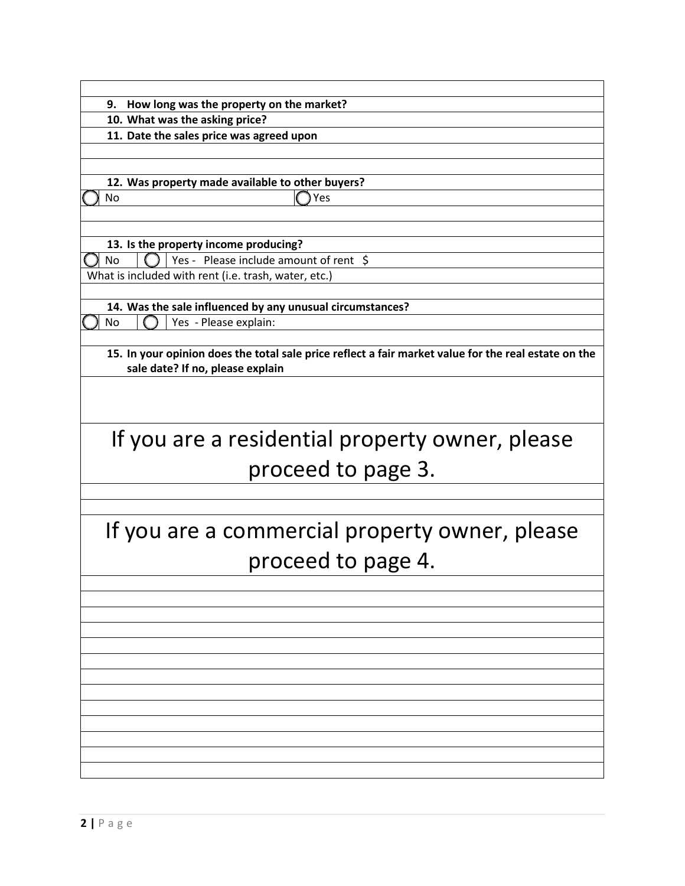|  |  |  | 9. How long was the property on the market? |
|--|--|--|---------------------------------------------|
|  |  |  |                                             |

**10. What was the asking price?**

**11. Date the sales price was agreed upon**

**12. Was property made available to other buyers?** No and the set of the Second Second Second Second Second Second Second Second Second Second Second Second Second Second Second Second Second Second Second Second Second Second Second Second Second Second Second Second Seco

**13. Is the property income producing?**  $\Box$  No  $\Box$  Yes - Please include amount of rent \$

What is included with rent (i.e. trash, water, etc.)

**14. Was the sale influenced by any unusual circumstances?** No  $\bigcap$  Yes - Please explain:

**15. In your opinion does the total sale price reflect a fair market value for the real estate on the sale date? If no, please explain**

## If you are a residential property owner, please proceed to page 3.

## If you are a commercial property owner, please proceed to page 4.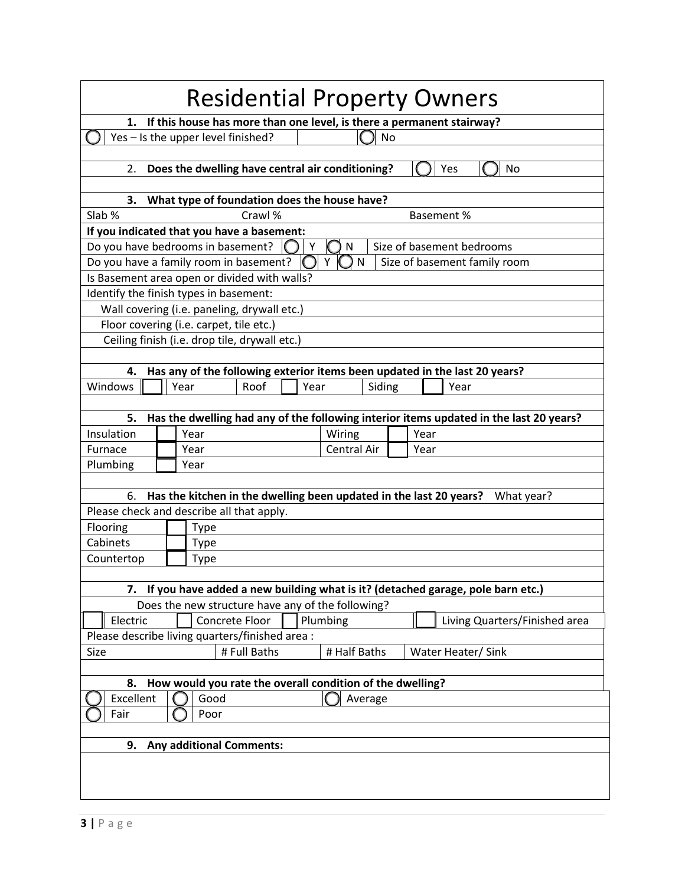|                                                                                                                            |  |                                                                    |              |      |                              |              |  |                   | <b>Residential Property Owners</b>                                                     |
|----------------------------------------------------------------------------------------------------------------------------|--|--------------------------------------------------------------------|--------------|------|------------------------------|--------------|--|-------------------|----------------------------------------------------------------------------------------|
|                                                                                                                            |  |                                                                    |              |      |                              |              |  |                   | 1. If this house has more than one level, is there a permanent stairway?               |
| Yes - Is the upper level finished?<br>No                                                                                   |  |                                                                    |              |      |                              |              |  |                   |                                                                                        |
|                                                                                                                            |  |                                                                    |              |      |                              |              |  |                   |                                                                                        |
| 2.                                                                                                                         |  | Does the dwelling have central air conditioning?                   |              |      |                              |              |  |                   | Yes<br><b>No</b>                                                                       |
|                                                                                                                            |  |                                                                    |              |      |                              |              |  |                   |                                                                                        |
| Slab %                                                                                                                     |  | 3. What type of foundation does the house have?                    | Crawl %      |      |                              |              |  | <b>Basement %</b> |                                                                                        |
| If you indicated that you have a basement:                                                                                 |  |                                                                    |              |      |                              |              |  |                   |                                                                                        |
| Do you have bedrooms in basement?                                                                                          |  |                                                                    |              | Y    | N                            |              |  |                   | Size of basement bedrooms                                                              |
| Do you have a family room in basement?                                                                                     |  |                                                                    |              |      |                              | $\mathsf{N}$ |  |                   | Size of basement family room                                                           |
| Is Basement area open or divided with walls?                                                                               |  |                                                                    |              |      |                              |              |  |                   |                                                                                        |
| Identify the finish types in basement:                                                                                     |  |                                                                    |              |      |                              |              |  |                   |                                                                                        |
|                                                                                                                            |  | Wall covering (i.e. paneling, drywall etc.)                        |              |      |                              |              |  |                   |                                                                                        |
|                                                                                                                            |  | Floor covering (i.e. carpet, tile etc.)                            |              |      |                              |              |  |                   |                                                                                        |
|                                                                                                                            |  | Ceiling finish (i.e. drop tile, drywall etc.)                      |              |      |                              |              |  |                   |                                                                                        |
|                                                                                                                            |  |                                                                    |              |      |                              |              |  |                   |                                                                                        |
|                                                                                                                            |  |                                                                    |              |      |                              |              |  |                   | 4. Has any of the following exterior items been updated in the last 20 years?          |
| Windows                                                                                                                    |  | Year                                                               | Roof         | Year |                              | Siding       |  |                   | Year                                                                                   |
|                                                                                                                            |  |                                                                    |              |      |                              |              |  |                   |                                                                                        |
| 5.                                                                                                                         |  |                                                                    |              |      |                              |              |  |                   | Has the dwelling had any of the following interior items updated in the last 20 years? |
| Insulation<br>Furnace                                                                                                      |  | Year<br>Year                                                       |              |      | Wiring<br><b>Central Air</b> |              |  | Year              |                                                                                        |
| Plumbing                                                                                                                   |  | Year                                                               |              |      |                              |              |  | Year              |                                                                                        |
|                                                                                                                            |  |                                                                    |              |      |                              |              |  |                   |                                                                                        |
| 6.                                                                                                                         |  | Has the kitchen in the dwelling been updated in the last 20 years? |              |      |                              |              |  |                   | What year?                                                                             |
| Please check and describe all that apply.                                                                                  |  |                                                                    |              |      |                              |              |  |                   |                                                                                        |
| Flooring                                                                                                                   |  | Type                                                               |              |      |                              |              |  |                   |                                                                                        |
| Cabinets                                                                                                                   |  | <b>Type</b>                                                        |              |      |                              |              |  |                   |                                                                                        |
| Countertop                                                                                                                 |  | Type                                                               |              |      |                              |              |  |                   |                                                                                        |
|                                                                                                                            |  |                                                                    |              |      |                              |              |  |                   |                                                                                        |
|                                                                                                                            |  |                                                                    |              |      |                              |              |  |                   | 7. If you have added a new building what is it? (detached garage, pole barn etc.)      |
|                                                                                                                            |  | Does the new structure have any of the following?                  |              |      |                              |              |  |                   |                                                                                        |
| Plumbing<br>Electric<br>Concrete Floor<br>Living Quarters/Finished area<br>Please describe living quarters/finished area : |  |                                                                    |              |      |                              |              |  |                   |                                                                                        |
|                                                                                                                            |  |                                                                    |              |      |                              |              |  |                   |                                                                                        |
| Size                                                                                                                       |  |                                                                    | # Full Baths |      | # Half Baths                 |              |  |                   | Water Heater/ Sink                                                                     |
|                                                                                                                            |  |                                                                    |              |      |                              |              |  |                   |                                                                                        |
| 8.<br>Excellent                                                                                                            |  | How would you rate the overall condition of the dwelling?<br>Good  |              |      |                              | Average      |  |                   |                                                                                        |
| Fair                                                                                                                       |  | Poor                                                               |              |      |                              |              |  |                   |                                                                                        |
|                                                                                                                            |  |                                                                    |              |      |                              |              |  |                   |                                                                                        |
|                                                                                                                            |  | 9. Any additional Comments:                                        |              |      |                              |              |  |                   |                                                                                        |
|                                                                                                                            |  |                                                                    |              |      |                              |              |  |                   |                                                                                        |
|                                                                                                                            |  |                                                                    |              |      |                              |              |  |                   |                                                                                        |
|                                                                                                                            |  |                                                                    |              |      |                              |              |  |                   |                                                                                        |